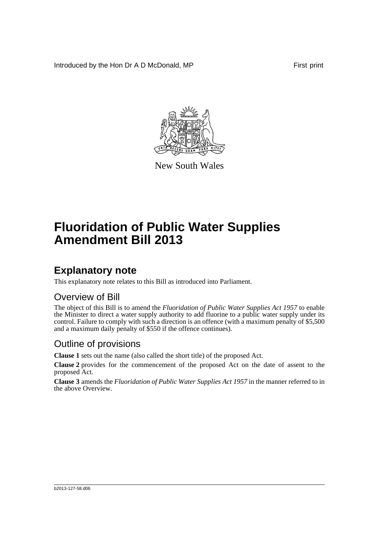Introduced by the Hon Dr A D McDonald, MP First print



New South Wales

# **Fluoridation of Public Water Supplies Amendment Bill 2013**

## **Explanatory note**

This explanatory note relates to this Bill as introduced into Parliament.

#### Overview of Bill

The object of this Bill is to amend the *Fluoridation of Public Water Supplies Act 1957* to enable the Minister to direct a water supply authority to add fluorine to a public water supply under its control. Failure to comply with such a direction is an offence (with a maximum penalty of \$5,500 and a maximum daily penalty of \$550 if the offence continues).

#### Outline of provisions

**Clause 1** sets out the name (also called the short title) of the proposed Act.

**Clause 2** provides for the commencement of the proposed Act on the date of assent to the proposed Act.

**Clause 3** amends the *Fluoridation of Public Water Supplies Act 1957* in the manner referred to in the above Overview.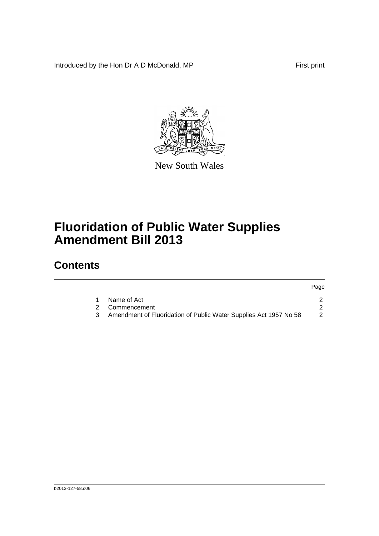Introduced by the Hon Dr A D McDonald, MP First print



New South Wales

# **Fluoridation of Public Water Supplies Amendment Bill 2013**

### **Contents**

|  |                                                                   | Page |
|--|-------------------------------------------------------------------|------|
|  | Name of Act                                                       |      |
|  | 2 Commencement                                                    |      |
|  | Amendment of Fluoridation of Public Water Supplies Act 1957 No 58 |      |
|  |                                                                   |      |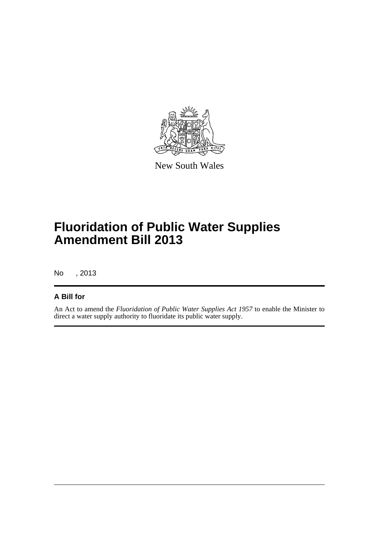

New South Wales

## **Fluoridation of Public Water Supplies Amendment Bill 2013**

No , 2013

#### **A Bill for**

An Act to amend the *Fluoridation of Public Water Supplies Act 1957* to enable the Minister to direct a water supply authority to fluoridate its public water supply.